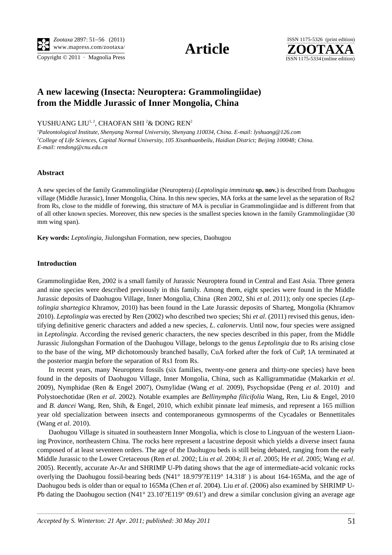Copyright  $\odot$  2011 · Magnolia Press ISSN 1175-5334 (online edition)





# **A new lacewing (Insecta: Neuroptera: Grammolingiidae) from the Middle Jurassic of Inner Mongolia, China**

## YUSHUANG LIU<sup>1, 2</sup>, CHAOFAN SHI <sup>2</sup>& DONG REN<sup>2</sup>

*1 Paleontological Institute, Shenyang Normal University, Shenyang 110034, China. E-mail: lyshuang@126.com* <sup>2</sup>College of Life Sciences, Capital Normal University, 105 Xisanhuanbeilu, Haidian District; Beijing 100048; China. *E-mail: rendong@cnu.edu.cn*

#### **Abstract**

A new species of the family Grammolingiidae (Neuroptera) (*Leptolingia imminuta* **sp. nov.**) is described from Daohugou village (Middle Jurassic), Inner Mongolia, China. In this new species, MA forks at the same level as the separation of Rs2 from Rs, close to the middle of forewing, this structure of MA is peculiar in Grammolingiidae and is different from that of all other known species. Moreover, this new species is the smallest species known in the family Grammolingiidae (30 mm wing span).

**Key words:** *Leptolingia*, Jiulongshan Formation, new species, Daohugou

### **Introduction**

Grammolingiidae Ren, 2002 is a small family of Jurassic Neuroptera found in Central and East Asia. Three genera and nine species were described previously in this family. Among them, eight species were found in the Middle Jurassic deposits of Daohugou Village, Inner Mongolia, China (Ren 2002, Shi *et al*. 2011); only one species (*Leptolingia shartegica* Khramov, 2010) has been found in the Late Jurassic deposits of Sharteg, Mongolia (Khramov 2010). *Leptolingia* was erected by Ren (2002) who described two species; Shi *et al*. (2011) revised this genus, identifying definitive generic characters and added a new species, *L. calonervis*. Until now, four species were assigned in *Leptolingia*. According the revised generic characters, the new species described in this paper, from the Middle Jurassic Jiulongshan Formation of the Daohugou Village, belongs to the genus *Leptolingia* due to Rs arising close to the base of the wing, MP dichotomously branched basally, CuA forked after the fork of CuP, 1A terminated at the posterior margin before the separation of Rs1 from Rs.

In recent years, many Neuroptera fossils (six families, twenty-one genera and thirty-one species) have been found in the deposits of Daohugou Village, Inner Mongolia, China, such as Kalligrammatidae (Makarkin *et al*. 2009), Nymphidae (Ren & Engel 2007), Osmylidae (Wang *et al*. 2009), Psychopsidae (Peng *et al*. 2010) and Polystoechotidae (Ren *et al*. 2002). Notable examples are *Bellinympha filicifolia* Wang, Ren, Liu & Engel, 2010 and *B. dancei* Wang, Ren, Shih, & Engel, 2010, which exhibit pinnate leaf mimesis, and represent a 165 million year old specialization between insects and contemporaneous gymnosperms of the Cycadales or Bennettitales (Wang *et al*. 2010).

Daohugou Village is situated in southeastern Inner Mongolia, which is close to Lingyuan of the western Liaoning Province, northeastern China. The rocks here represent a lacustrine deposit which yields a diverse insect fauna composed of at least seventeen orders. The age of the Daohugou beds is still being debated, ranging from the early Middle Jurassic to the Lower Cretaceous (Ren *et al*. 2002; Liu *et al*. 2004; Ji *et al*. 2005; He *et al*. 2005; Wang *et al*. 2005). Recently, accurate Ar-Ar and SHRIMP U-Pb dating shows that the age of intermediate-acid volcanic rocks overlying the Daohugou fossil-bearing beds (N41° 18.979'?E119° 14.318') is about 164-165Ma, and the age of  $\text{°P}$ [2119° 14.318′) is about 164-165Ma, and the age of 2004). Liu *et al.* (2006) also examined by SHRIMP U-<br> $\text{°}$  and drew a similar conclusion giving an average age Daohugou beds is older than or equal to 165Ma (Chen *et al*. 2004). Liu *et al*. (2006) also examined by SHRIMP U-Pb dating the Daohugou section (N41° 23.10′?E119° 09.61′) and drew a similar conclusion giving an average age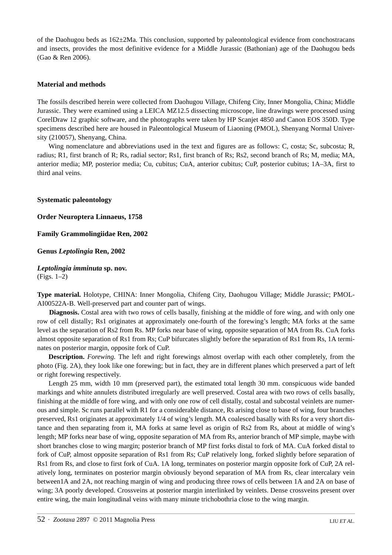of the Daohugou beds as 162±2Ma. This conclusion, supported by paleontological evidence from conchostracans and insects, provides the most definitive evidence for a Middle Jurassic (Bathonian) age of the Daohugou beds (Gao & Ren 2006).

# **Material and methods**

The fossils described herein were collected from Daohugou Village, Chifeng City, Inner Mongolia, China; Middle Jurassic. They were examined using a LEICA MZ12.5 dissecting microscope, line drawings were processed using CorelDraw 12 graphic software, and the photographs were taken by HP Scanjet 4850 and Canon EOS 350D. Type specimens described here are housed in Paleontological Museum of Liaoning (PMOL), Shenyang Normal University (210057), Shenyang, China.

Wing nomenclature and abbreviations used in the text and figures are as follows: C, costa; Sc, subcosta; R, radius; R1, first branch of R; Rs, radial sector; Rs1, first branch of Rs; Rs2, second branch of Rs; M, media; MA, anterior media; MP, posterior media; Cu, cubitus; CuA, anterior cubitus; CuP, posterior cubitus; 1A–3A, first to third anal veins.

## **Systematic paleontology**

**Order Neuroptera Linnaeus, 1758**

**Family Grammolingiidae Ren, 2002**

**Genus** *Leptolingia* **Ren, 2002**

*Leptolingia imminuta* **sp. nov.**  (Figs. 1–2)

**Type material.** Holotype, CHINA: Inner Mongolia, Chifeng City, Daohugou Village; Middle Jurassic; PMOL-AI00522A-B. Well-preserved part and counter part of wings.

**Diagnosis.** Costal area with two rows of cells basally, finishing at the middle of fore wing, and with only one row of cell distally; Rs1 originates at approximately one-fourth of the forewing's length; MA forks at the same level as the separation of Rs2 from Rs. MP forks near base of wing, opposite separation of MA from Rs. CuA forks almost opposite separation of Rs1 from Rs; CuP bifurcates slightly before the separation of Rs1 from Rs, 1A terminates on posterior margin, opposite fork of CuP.

**Description.** *Forewing.* The left and right forewings almost overlap with each other completely, from the photo (Fig. 2A), they look like one forewing; but in fact, they are in different planes which preserved a part of left or right forewing respectively.

Length 25 mm, width 10 mm (preserved part), the estimated total length 30 mm. conspicuous wide banded markings and white annulets distributed irregularly are well preserved. Costal area with two rows of cells basally, finishing at the middle of fore wing, and with only one row of cell distally, costal and subcostal veinlets are numerous and simple. Sc runs parallel with R1 for a considerable distance, Rs arising close to base of wing, four branches preserved, Rs1 originates at approximately 1/4 of wing's length. MA coalesced basally with Rs for a very short distance and then separating from it, MA forks at same level as origin of Rs2 from Rs, about at middle of wing's length; MP forks near base of wing, opposite separation of MA from Rs, anterior branch of MP simple, maybe with short branches close to wing margin; posterior branch of MP first forks distal to fork of MA. CuA forked distal to fork of CuP, almost opposite separation of Rs1 from Rs; CuP relatively long, forked slightly before separation of Rs1 from Rs, and close to first fork of CuA. 1A long, terminates on posterior margin opposite fork of CuP, 2A relatively long, terminates on posterior margin obviously beyond separation of MA from Rs, clear intercalary vein between1A and 2A, not reaching margin of wing and producing three rows of cells between 1A and 2A on base of wing; 3A poorly developed. Crossveins at posterior margin interlinked by veinlets. Dense crossveins present over entire wing, the main longitudinal veins with many minute trichobothria close to the wing margin.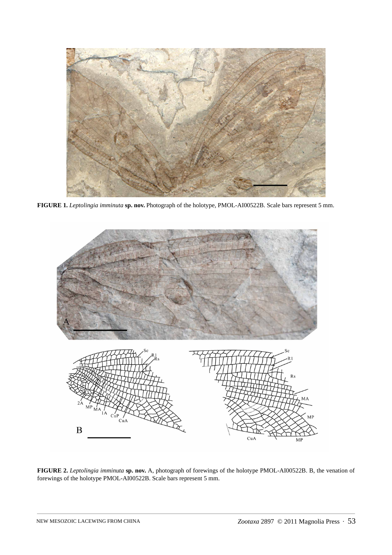

**FIGURE 1.** *Leptolingia imminuta* **sp. nov.** Photograph of the holotype, PMOL-AI00522B. Scale bars represent 5 mm.



**FIGURE 2.** *Leptolingia imminuta* **sp. nov.** A, photograph of forewings of the holotype PMOL-AI00522B. B, the venation of forewings of the holotype PMOL-AI00522B. Scale bars represent 5 mm.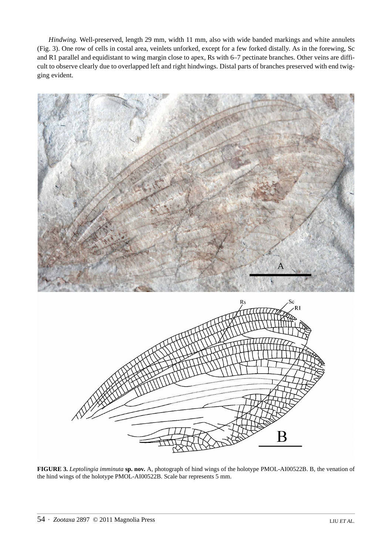*Hindwing.* Well-preserved, length 29 mm, width 11 mm, also with wide banded markings and white annulets (Fig. 3). One row of cells in costal area, veinlets unforked, except for a few forked distally. As in the forewing, Sc and R1 parallel and equidistant to wing margin close to apex, Rs with 6–7 pectinate branches. Other veins are difficult to observe clearly due to overlapped left and right hindwings. Distal parts of branches preserved with end twigging evident.



**FIGURE 3.** *Leptolingia imminuta* **sp. nov.** A, photograph of hind wings of the holotype PMOL-AI00522B. B, the venation of the hind wings of the holotype PMOL-AI00522B. Scale bar represents 5 mm.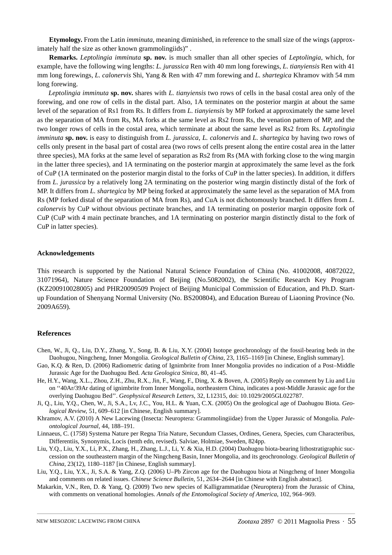**Etymology.** From the Latin *imminuta*, meaning diminished, in reference to the small size of the wings (approximately half the size as other known grammolingiids)" .

**Remarks.** *Leptolingia imminuta* **sp. nov.** is much smaller than all other species of *Leptolingia*, which, for example, have the following wing lengths: *L. jurassica* Ren with 40 mm long forewings, *L. tianyiensis* Ren with 41 mm long forewings, *L. calonervis* Shi, Yang & Ren with 47 mm forewing and *L. shartegica* Khramov with 54 mm long forewing.

*Leptolingia imminuta* **sp. nov.** shares with *L. tianyiensis* two rows of cells in the basal costal area only of the forewing, and one row of cells in the distal part. Also, 1A terminates on the posterior margin at about the same level of the separation of Rs1 from Rs. It differs from *L. tianyiensis* by MP forked at approximately the same level as the separation of MA from Rs, MA forks at the same level as Rs2 from Rs, the venation pattern of MP, and the two longer rows of cells in the costal area, which terminate at about the same level as Rs2 from Rs. *Leptolingia imminuta* **sp. nov.** is easy to distinguish from *L. jurassica*, *L. calonervis* and *L. shartegica* by having two rows of cells only present in the basal part of costal area (two rows of cells present along the entire costal area in the latter three species), MA forks at the same level of separation as Rs2 from Rs (MA with forking close to the wing margin in the latter three species), and 1A terminating on the posterior margin at approximately the same level as the fork of CuP (1A terminated on the posterior margin distal to the forks of CuP in the latter species). In addition, it differs from *L. jurassica* by a relatively long 2A terminating on the posterior wing margin distinctly distal of the fork of MP. It differs from *L. shartegica* by MP being forked at approximately the same level as the separation of MA from Rs (MP forked distal of the separation of MA from Rs), and CuA is not dichotomously branched. It differs from *L. calonervis* by CuP without obvious pectinate branches, and 1A terminating on posterior margin opposite fork of CuP (CuP with 4 main pectinate branches, and 1A terminating on posterior margin distinctly distal to the fork of CuP in latter species).

#### **Acknowledgements**

This research is supported by the National Natural Science Foundation of China (No. 41002008, 40872022, 31071964), Nature Science Foundation of Beijing (No.5082002), the Scientific Research Key Program (KZ200910028005) and PHR20090509 Project of Beijing Municipal Commission of Education, and Ph.D. Startup Foundation of Shenyang Normal University (No. BS200804), and Education Bureau of Liaoning Province (No. 2009A659).

#### **References**

- Chen, W., Ji, Q., Liu, D.Y., Zhang, Y., Song, B. & Liu, X.Y. (2004) Isotope geochronology of the fossil-bearing beds in the Daohugou, Ningcheng, Inner Mongolia. *Geological Bulletin of China*, 23, 1165–1169 [in Chinese, English summary].
- Gao, K.Q. & Ren, D. (2006) Radiometric dating of Ignimbrite from Inner Mongolia provides no indication of a Post–Middle Jurassic Age for the Daohugou Bed. *Acta Geologica Sinica*, 80, 41–45.
- He, H.Y., Wang, X.L., Zhou, Z.H., Zhu, R.X., Jin, F., Wang, F., Ding, X. & Boven, A. (2005) Reply on comment by Liu and Liu on ''40Ar/39Ar dating of ignimbrite from Inner Mongolia, northeastern China, indicates a post-Middle Jurassic age for the overlying Daohugou Bed''. *Geophysical Research Letters*, 32, L12315, doi: 10.1029/2005GL022787.
- Ji, Q., Liu, Y.Q., Chen, W., Ji, S.A., Lv, J.C., You, H.L. & Yuan, C.X. (2005) On the geological age of Daohugou Biota. *Geological Review*, 51, 609–612 [in Chinese, English summary].
- Khramov, A.V. (2010) A New Lacewing (Insecta: Neuroptera: Grammolingiidae) from the Upper Jurassic of Mongolia. *Paleontological Journal*, 44, 188–191.
- Linnaeus, C. (1758) Systema Nature per Regna Tria Nature, Secundum Classes, Ordines, Genera, Species, cum Characteribus, Differentiis, Synonymis, Locis (tenth edn, revised). Salviae, Holmiae, Sweden, 824pp.
- Liu, Y.Q., Liu, Y.X., Li, P.X., Zhang, H., Zhang, L.J., Li, Y. & Xia, H.D. (2004) Daohugou biota-bearing lithostratigraphic succession on the southeastern margin of the Ningcheng Basin, Inner Mongolia, and its geochronology. *Geological Bulletin of China*, 23(12), 1180–1187 [in Chinese, English summary].
- Liu, Y.Q., Liu, Y.X., Ji, S.A. & Yang, Z.Q. (2006) U–Pb Zircon age for the Daohugou biota at Ningcheng of Inner Mongolia and comments on related issues. *Chinese Science Bulletin*, 51, 2634–2644 [in Chinese with English abstract].
- Makarkin, V.N., Ren, D. & Yang, Q. (2009) Two new species of Kalligrammatidae (Neuroptera) from the Jurassic of China, with comments on venational homologies. *Annals of the Entomological Society of America*, 102, 964–969.